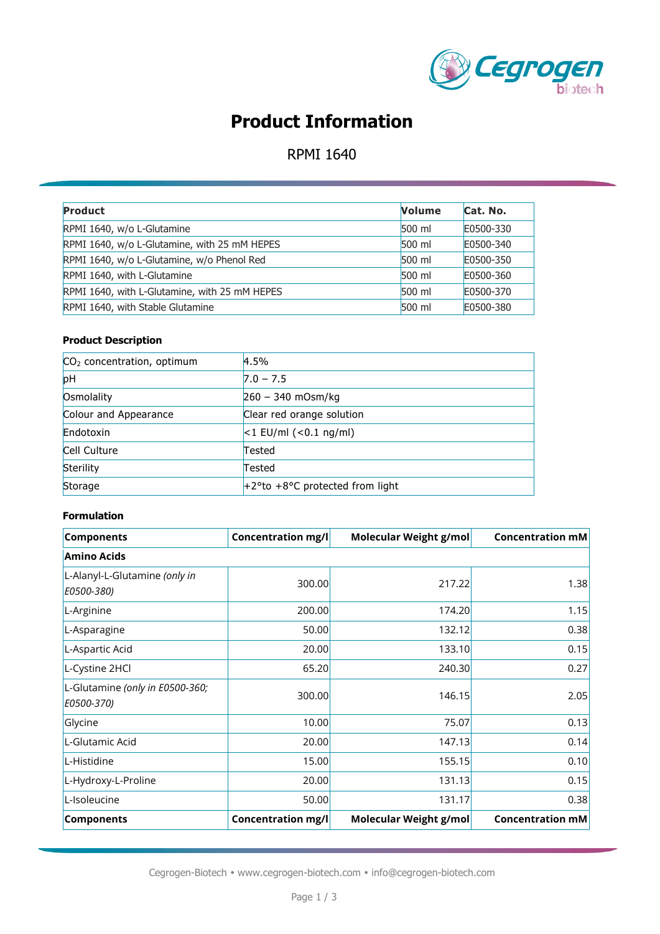

# **Product Information**

## RPMI 1640

| <b>Product</b>                                | <b>Volume</b> | Cat. No.  |
|-----------------------------------------------|---------------|-----------|
| RPMI 1640, w/o L-Glutamine                    | $500$ ml      | E0500-330 |
| RPMI 1640, w/o L-Glutamine, with 25 mM HEPES  | $500$ ml      | E0500-340 |
| RPMI 1640, w/o L-Glutamine, w/o Phenol Red    | $500$ ml      | E0500-350 |
| RPMI 1640, with L-Glutamine                   | 500 ml        | E0500-360 |
| RPMI 1640, with L-Glutamine, with 25 mM HEPES | $500$ ml      | E0500-370 |
| RPMI 1640, with Stable Glutamine              | 500 ml        | E0500-380 |

#### **Product Description**

| $CO2$ concentration, optimum | 4.5%                               |
|------------------------------|------------------------------------|
| pH                           | $7.0 - 7.5$                        |
| Osmolality                   | $260 - 340$ mOsm/kg                |
| Colour and Appearance        | Clear red orange solution          |
| Endotoxin                    | $<$ 1 EU/ml ( $<$ 0.1 ng/ml)       |
| Cell Culture                 | Tested                             |
| Sterility                    | Tested                             |
| Storage                      | $+2$ °to +8°C protected from light |
|                              |                                    |

#### **Formulation**

| <b>Components</b>                             | <b>Concentration mg/l</b> | Molecular Weight g/mol        | <b>Concentration mM</b> |  |  |
|-----------------------------------------------|---------------------------|-------------------------------|-------------------------|--|--|
| <b>Amino Acids</b>                            |                           |                               |                         |  |  |
| L-Alanyl-L-Glutamine (only in<br>E0500-380)   | 300.00                    | 217.22                        | 1.38                    |  |  |
| L-Arginine                                    | 200.00                    | 174.20                        | 1.15                    |  |  |
| L-Asparagine                                  | 50.00                     | 132.12                        | 0.38                    |  |  |
| L-Aspartic Acid                               | 20.00                     | 133.10                        | 0.15                    |  |  |
| L-Cystine 2HCl                                | 65.20                     | 240.30                        | 0.27                    |  |  |
| L-Glutamine (only in E0500-360;<br>E0500-370) | 300.00                    | 146.15                        | 2.05                    |  |  |
| Glycine                                       | 10.00                     | 75.07                         | 0.13                    |  |  |
| L-Glutamic Acid                               | 20.00                     | 147.13                        | 0.14                    |  |  |
| L-Histidine                                   | 15.00                     | 155.15                        | 0.10                    |  |  |
| L-Hydroxy-L-Proline                           | 20.00                     | 131.13                        | 0.15                    |  |  |
| L-Isoleucine                                  | 50.00                     | 131.17                        | 0.38                    |  |  |
| <b>Components</b>                             | Concentration mg/l        | <b>Molecular Weight g/mol</b> | <b>Concentration mM</b> |  |  |

Cegrogen-Biotech • www.cegrogen-biotech.com • info@cegrogen-biotech.com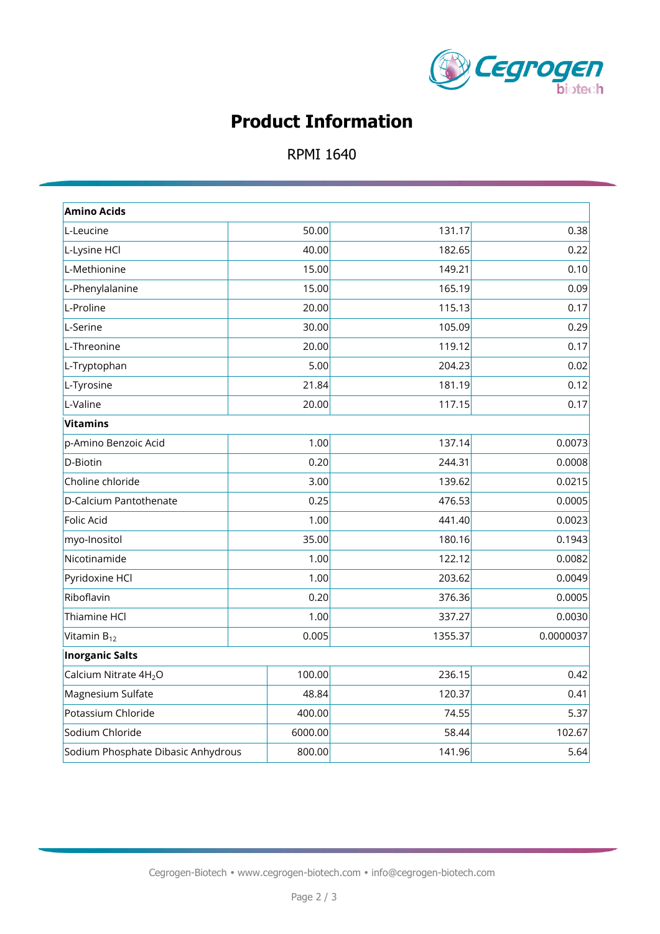

# **Product Information**

## RPMI 1640

| <b>Amino Acids</b>                           |                 |         |           |  |
|----------------------------------------------|-----------------|---------|-----------|--|
| L-Leucine                                    | 50.00           | 131.17  | 0.38      |  |
| L-Lysine HCl                                 | 40.00           | 182.65  | 0.22      |  |
| L-Methionine                                 | 15.00           | 149.21  | 0.10      |  |
| L-Phenylalanine                              | 15.00           | 165.19  | 0.09      |  |
| L-Proline                                    | 20.00           | 115.13  | 0.17      |  |
| L-Serine                                     | 30.00           | 105.09  | 0.29      |  |
| L-Threonine                                  | 20.00           | 119.12  | 0.17      |  |
| L-Tryptophan                                 | 5.00            | 204.23  | 0.02      |  |
| L-Tyrosine                                   | 21.84           | 181.19  | 0.12      |  |
| L-Valine                                     | 20.00           | 117.15  | 0.17      |  |
| <b>Vitamins</b>                              |                 |         |           |  |
| p-Amino Benzoic Acid                         | 1.00            | 137.14  | 0.0073    |  |
| D-Biotin                                     | 0.20            | 244.31  | 0.0008    |  |
| Choline chloride                             | 3.00            | 139.62  | 0.0215    |  |
| D-Calcium Pantothenate                       | 0.25            | 476.53  | 0.0005    |  |
| <b>Folic Acid</b>                            | 1.00            | 441.40  | 0.0023    |  |
| myo-Inositol                                 | 35.00           | 180.16  | 0.1943    |  |
| Nicotinamide                                 | 1.00            | 122.12  | 0.0082    |  |
| Pyridoxine HCl                               | 1.00            | 203.62  | 0.0049    |  |
| Riboflavin                                   | 0.20            | 376.36  | 0.0005    |  |
| Thiamine HCl                                 | 1.00            | 337.27  | 0.0030    |  |
| Vitamin B <sub>12</sub>                      | 0.005           | 1355.37 | 0.0000037 |  |
| <b>Inorganic Salts</b>                       |                 |         |           |  |
| Calcium Nitrate 4H <sub>2</sub> O            | 100.00          | 236.15  | 0.42      |  |
| Magnesium Sulfate                            | 120.37<br>48.84 |         | 0.41      |  |
| Potassium Chloride                           | 400.00          | 74.55   | 5.37      |  |
| Sodium Chloride<br>6000.00                   |                 | 58.44   | 102.67    |  |
| 800.00<br>Sodium Phosphate Dibasic Anhydrous |                 | 141.96  | 5.64      |  |